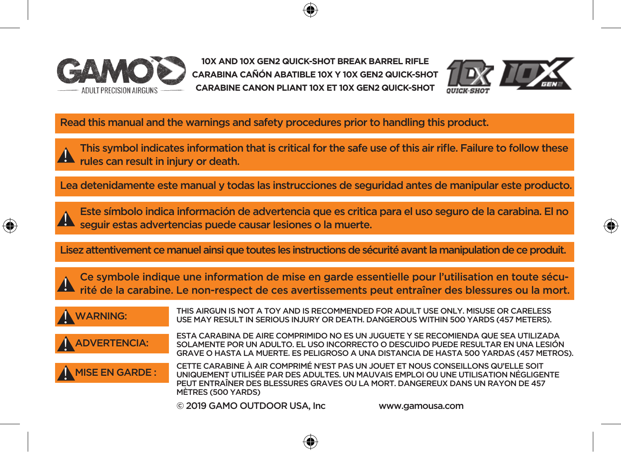

**10X AND 10X GEN2 QUICK-SHOT BREAK BARREL RIFLE CARABINA CAÑÓN ABATIBLE 10X Y 10X GEN2 QUICK-SHOT CARABINE CANON PLIANT 10X ET 10X GEN2 QUICK-SHOT**



♠

Read this manual and the warnings and safety procedures prior to handling this product.

This symbol indicates information that is critical for the safe use of this air rifle. Failure to follow these **A** rules can result in injury or death.

Lea detenidamente este manual y todas las instrucciones de seguridad antes de manipular este producto.

Este símbolo indica información de advertencia que es critica para el uso seguro de la carabina. El no  $\blacktriangle$  seguir estas advertencias puede causar lesiones o la muerte.

Lisez attentivement ce manuel ainsi que toutes les instructions de sécurité avant la manipulation de ce produit.

Ce symbole indique une information de mise en garde essentielle pour l'utilisation en toute sécu- $\blacktriangle$  Ce symbole indique une information de mise en garde essentielle pour l'utilisation en toute sécu-<br> $\blacktriangle$  rité de la carabine. Le non-respect de ces avertissements peut entraîner des blessures ou la mort.

 $\mathbf{0}$ 

 $\mathbf{0}$ 

THIS AIRGUN IS NOT A TOY AND IS RECOMMENDED FOR ADULT USE ONLY. MISUSE OR CARELESS<br>WARNING: It is the may begul tun (EDIO) Is in upy OR DEATH DANGEDOUS WITHIN 500 VADDS (457 METERS) USE MAY RESULT IN SERIOUS INJURY OR DEATH. DANGEROUS WITHIN 500 YARDS (457 METERS).

 $\boldsymbol{\theta}$ 

ESTA CARABINA DE AIRE COMPRIMIDO NO ES UN JUGUETE Y SE RECOMIENDA QUE SEA UTILIZADA<br>ADVERTENCIA: SOLAMENTE POR UN ADULTO. EL USO INCORRECTO O DESCUIDO PUEDE RESULTAR EN UNA LESIÓN GRAVE O HASTA LA MUERTE. ES PELIGROSO A UNA DISTANCIA DE HASTA 500 YARDAS (457 METROS).

MISE EN GARDE : CETTE CARABINE À AIR COMPRIMÉ N'EST PAS UN JOUET ET NOUS CONSEILLONS QU'ELLE SOIT UNIQUEMENT UTILISÉE PAR DES ADULTES. UN MAUVAIS EMPLOI OU UNE UTILISATION NÉGLIGENTE PEUT ENTRAÎNER DES BLESSURES GRAVES OU LA MORT. DANGEREUX DANS UN RAYON DE 457 MÈTRES (500 YARDS)

© 2019 GAMO OUTDOOR USA, Inc www.gamousa.com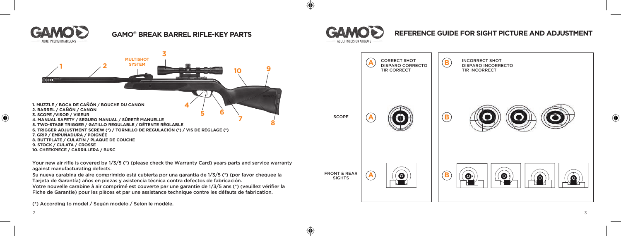

 $\bigoplus$ 

⊕

Your new air rifle is covered by 1/3/5 (\*) (please check the Warranty Card) years parts and service warranty against manufacturating defects.

Su nueva carabina de aire comprimido está cubierta por una garantía de 1/3/5 (\*) (por favor chequee la Tarjeta de Garantía) años en piezas y asistencia técnica contra defectos de fabricación.

Votre nouvelle carabine à air comprimé est couverte par une garantie de 1/3/5 ans (\*) (veuillez vérifier la Fiche de Garantie) pour les pièces et par une assistance technique contre les défauts de fabrication.

(\*) According to model / Según modelo / Selon le modèle.

# **REFERENCE GUIDE FOR SIGHT PICTURE AND ADJUSTMENT**

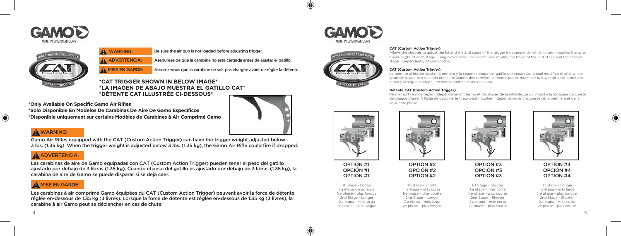



WARNING: Be sure the air gun is not loaded before adjusting trigger.

ADVERTENCIA: Asegurese de que la carabina no esta cargada antes de ajustar el gatillo. !

A MISE EN GARDE: Assurez-vous que la carabine ne soit pas chargée avant de régler la détente.

## **\*CAT TRIGGER SHOWN IN BELOW IMAGE\* \*LA IMAGEN DE ABAJO MUESTRA EL GATILLO CAT\* \*DÉTENTE CAT ILLUSTRÉE CI-DESSOUS\***

**\*Only Available On Specific Gamo Air Rifles \*Solo Disponible En Modelos De Carabinas De Aire De Gamo Específicos \*Disponible uniquement sur certains Modèles de Carabines à Air Comprimé Gamo**



## **A** WARNING:

Gamo Air Rifles equipped with the CAT (Custom Action Trigger) can have the trigger weight adjusted below 3 lbs. (1.35 kg). When the trigger weight is adjusted below 3 lbs. (1.35 kg), the Gamo Air Rifle could fire if dropped.

## A ADVERTENCIA:

Las carabinas de aire de Gamo equipadas con CAT (Custom Action Trigger) pueden tener el peso del gatillo ajustado por debajo de 3 libras (1.35 kg). Cuando el peso del gatillo es ajustado por debajo de 3 libras (1.35 kg), la carabina de aire de Gamo se puede disparar si se deja caer.

## $\bigwedge$  MISE EN GARDE:

Les carabines à air comprimé Gamo équipées du CAT (Custom Action Trigger) peuvent avoir la force de détente réglée en-dessous de 1.35 kg (3 livres). Lorsque la force de détente est réglée en-dessous de 1.35 kg (3 livres), la carabine à air Gamo peut se déclencher en cas de chute.



 $\bigoplus$ 

⊕



#### **CAT (Custom Action Trigger)**

Allows the shooter to adjust the 1st and the 2nd stage of the trigger independently, which in tern modifies the total travel length of each stage. Using two screws, the shooter can modify the travel of the first stage and the second stage independently of one another.

#### **CAT (Custom Action Trigger)**

Le permite al tirador ajustar la primera y la segunda etapa del gatillo por separado, lo cual modifica el total la longitud de trayectoria de cada etapa. Utilizando dos tornillos, el tirador puede modificar la trayectoria de la primera etapa y la segunda etapa independientemente una de la otra.

#### **Détente CAT (Custom Action Trigger)**

Permet au tireur de régler indépendamment les 1re et 2e phases de la détente, ce qui modifie la longueur de course de chaque phase. À l'aide de deux vis, le tireur peut modifier indépendamment la course de la première et de la deuxième phase.



OPTION #1 OPCIÓN #1 OPTION #1

1st Stage - Longer 1.a etapa – más larga 1re phase – plus longue 2nd Stage - Longer 2.a etapa – más larga 2e phase – plus longue





1st Stage - Shorter 1.a etapa – más corta 1re phase – plus courte 2nd Stage - Longer 2.a etapa – más larga 2e phase – plus longue



OPTION #3 OPCIÓN #3 OPTION #3





1st Stage - Longer 1.a etapa – más larga 1re phase – plus longue 2nd Stage - Shorter 2.a etapa – más corta 2e phase – plus courte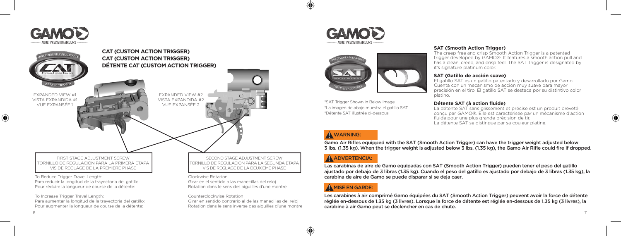

⊕



### To Increase Trigger Travel Length: Para aumentar la longitud de la trayectoria del gatillo: Pour augmenter la longueur de course de la détente:

TORNILLO DE REGULACIÓN PARA LA SEGUNDA ETAPA

### Counterclockwise Rotation

Girar en sentido contrario al de las manecillas del reloj Rotation dans le sens inverse des aiguilles d'une montre





\*SAT Trigger Shown in Below Image \*La imagen de abajo muestra el gatillo SAT \*Détente SAT illustrée ci-dessous

# **SAT (Smooth Action Trigger)** The creep free and crisp Smooth Action Trigger is a patented

trigger developed by GAMO®. It features a smooth action pull and has a clean, creep, and crisp feel. The SAT Trigger is designated by it's signature platinum color.

## **SAT (Gatillo de acción suave)**

El gatillo SAT es un gatillo patentado y desarrollado por Gamo. Cuenta con un mecanismo de acción muy suave para mayor precisión en el tiro. El gatillo SAT se destaca por su distintivo color platino.

## **Détente SAT (à action fluide)**

La détente SAT sans glissement et précise est un produit breveté conçu par GAMO®. Elle est caractérisée par un mécanisme d'action fluide pour une plus grande précision de tir. La détente SAT se distingue par sa couleur platine.

 $\bigoplus$ 

## **A** WARNING:

Gamo Air Rifles equipped with the SAT (Smooth Action Trigger) can have the trigger weight adjusted below 3 lbs. (1.35 kg). When the trigger weight is adjusted below 3 lbs. (1.35 kg), the Gamo Air Rifle could fire if dropped.

# A ADVERTENCIA:

Las carabinas de aire de Gamo equipadas con SAT (Smooth Action Trigger) pueden tener el peso del gatillo ajustado por debajo de 3 libras (1.35 kg). Cuando el peso del gatillo es ajustado por debajo de 3 libras (1.35 kg), la carabina de aire de Gamo se puede disparar si se deja caer.

## A MISE EN GARDE:

6 година в 1986 година од 2014 година, од 2014 година, од 2014 година, од 2014 година, од 2014 година, од 2014

⊕

Les carabines à air comprimé Gamo équipées du SAT (Smooth Action Trigger) peuvent avoir la force de détente réglée en-dessous de 1.35 kg (3 livres). Lorsque la force de détente est réglée en-dessous de 1.35 kg (3 livres), la carabine à air Gamo peut se déclencher en cas de chute.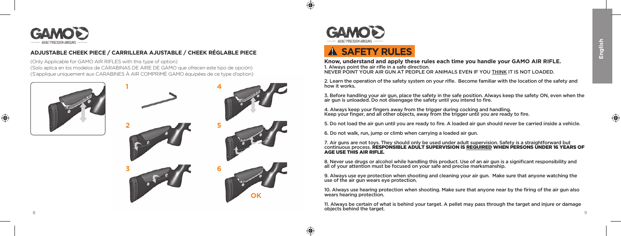⊕



## **ADJUSTABLE CHEEK PIECE / CARRILLERA AJUSTABLE / CHEEK RÉGLABLE PIECE**

(Only Applicable for GAMO AIR RIFLES with this type of option) (Solo aplica en los modelos de CARABINAS DE AIRE DE GAMO que ofrecen este tipo de opción) (S'applique uniquement aux CARABINES À AIR COMPRIMÉ GAMO équipées de ce type d'option)







 $\bigoplus$ 

⊕

# ! **SAFETY RULES**

**Know, understand and apply these rules each time you handle your GAMO AIR RIFLE.** 1. Always point the air rifle in a safe direction. NEVER POINT YOUR AIR GUN AT PEOPLE OR ANIMALS EVEN IF YOU THINK IT IS NOT LOADED.

2. Learn the operation of the safety system on your rifle. Become familiar with the location of the safety and how it works.

3. Before handling your air gun, place the safety in the safe position. Always keep the safety ON, even when the air gun is unloaded. Do not disengage the safety until you intend to fire.

4. Always keep your fingers away from the trigger during cocking and handling. Keep your finger, and all other objects, away from the trigger until you are ready to fire.

5. Do not load the air gun until you are ready to fire. A loaded air gun should never be carried inside a vehicle.

6. Do not walk, run, jump or climb when carrying a loaded air gun.

7. Air guns are not toys. They should only be used under adult supervision. Safety is a straightforward but<br>continuous process. **RESPONSIBLE ADULT SUPERVISION IS <u>REQUIRED</u> WHEN PERSONS UNDER 16 YEARS OF AGE USE THIS AID DIELE** 

8. Never use drugs or alcohol while handling this product. Use of an air gun is a significant responsibility and all of your attention must be focused on your safe and precise marksmanship.

9. Always use eye protection when shooting and cleaning your air gun. Make sure that anyone watching the use of the air gun wears eye protection.

10. Always use hearing protection when shooting. Make sure that anyone near by the firing of the air gun also wears hearing protection.

8 a viz de la construction de la construction de la construction de la construction de la construction de la c<br>8 de decembre : la construction de la construction de la construction de la construction de la construction de 11. Always be certain of what is behind your target. A pellet may pass through the target and injure or damage objects behind the target.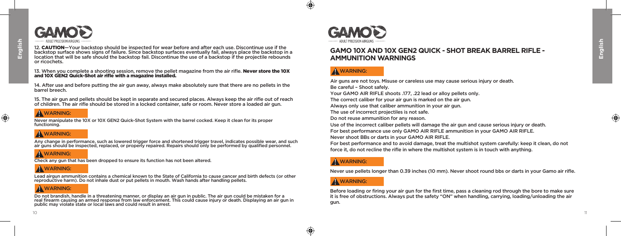

12. CAUTION-Your backstop should be inspected for wear before and after each use. Discontinue use if the backstop surface shows signs of failure. Since backstop surfaces eventually fail, always place the backstop in a location that will be safe should the backstop fail. Discontinue the use of a backstop if the projectile rebounds or ricochets.

### 13. When you complete a shooting session, remove the pellet magazine from the air rifle. Never store the 10X and 10X GEN2 Quick-Shot air rifle with a magazine installed.

14. After use and before putting the air gun away, always make absolutely sure that there are no pellets in the barrel breech.

15. The air gun and pellets should be kept in separate and secured places. Always keep the air rifle out of reach of children. The air rifle should be stored in a locked container, safe or room. Never store a loaded air gun.

## **A** WARNING:

Never manipulate the 10X or 10X GEN2 Quick-Shot System with the barrel cocked. Keep it clean for its proper functioning.

## ! WARNING:

Any change in performance, such as lowered trigger force and shortened trigger travel, indicates possible wear, and such<br>air guns should be inspected, replaced, or properly repaired. Repairs should only be performed by qua

## **A** WARNING:

Check any gun that has been dropped to ensure its function has not been altered.

## **A** WARNING:

Lead airgun ammunition contains a chemical known to the State of California to cause cancer and birth defects (or other reproductive harm). Do not inhale dust or put pellets in mouth. Wash hands after handling pellets.

# **A** WARNING:

Do not brandish, handle in a threatening manner, or display an air gun in public. The air gun could be mistaken for a<br>real firearm causing an armed response from law enforcement. This could cause injury or death. Displayin public may violate state or local laws and could result in arrest.



 $\bigoplus$ 

⊕

## **GAMO 10X AND 10X GEN2 QUICK - SHOT BREAK BARREL RIFLE - AMMUNITION WARNINGS**

## **A** WARNING:

Air guns are not toys. Misuse or careless use may cause serious injury or death. Be careful – Shoot safely. Your GAMO AIR RIFLE shoots .177, .22 lead or alloy pellets only. The correct caliber for your air gun is marked on the air gun. Always only use that caliber ammunition in your air gun. The use of incorrect projectiles is not safe. Do not reuse ammunition for any reason. Use of the incorrect caliber pellets will damage the air gun and cause serious injury or death. For best performance use only GAMO AIR RIFLE ammunition in your GAMO AIR RIFLE. Never shoot BBs or darts in your GAMO AIR RIFLE.

For best performance and to avoid damage, treat the multishot system carefully: keep it clean, do not force it, do not recline the rifle in where the multishot system is in touch with anything.

## **A** WARNING:

Never use pellets longer than 0.39 inches (10 mm). Never shoot round bbs or darts in your Gamo air rifle.

## **A** WARNING:

Before loading or firing your air gun for the first time, pass a cleaning rod through the bore to make sure it is free of obstructions. Always put the safety "ON" when handling, carrying, loading/unloading the air gun.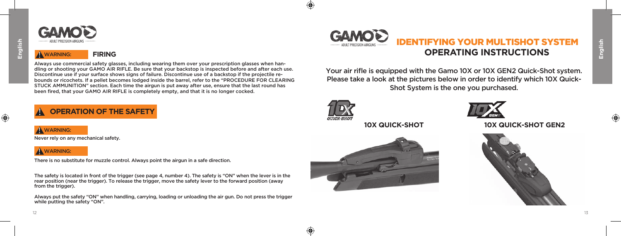⊕



## **A** WARNING: **FIRING**

Always use commercial safety glasses, including wearing them over your prescription glasses when handling or shooting your GAMO AIR RIFLE. Be sure that your backstop is inspected before and after each use. Discontinue use if your surface shows signs of failure. Discontinue use of a backstop if the projectile rebounds or ricochets. If a pellet becomes lodged inside the barrel, refer to the "PROCEDURE FOR CLEARING STUCK AMMUNITION" section. Each time the airgun is put away after use, ensure that the last round has been fired, that your GAMO AIR RIFLE is completely empty, and that it is no longer cocked.

# ! **OPERATION OF THE SAFETY**

## **A** WARNING:

Never rely on any mechanical safety.

## **A** WARNING:

There is no substitute for muzzle control. Always point the airgun in a safe direction.

The safety is located in front of the trigger (see page 4, number 4). The safety is "ON" when the lever is in the rear position (near the trigger). To release the trigger, move the safety lever to the forward position (away from the trigger).

Always put the safety "ON" when handling, carrying, loading or unloading the air gun. Do not press the trigger while putting the safety "ON".



# IDENTIFYING YOUR MULTISHOT SYSTEM **OPERATING INSTRUCTIONS**

Your air rifle is equipped with the Gamo 10X or 10X GEN2 Quick-Shot system. Please take a look at the pictures below in order to identify which 10X Quick-Shot System is the one you purchased.



⊕

€





**10X QUICK-SHOT 10X QUICK-SHOT GEN2**

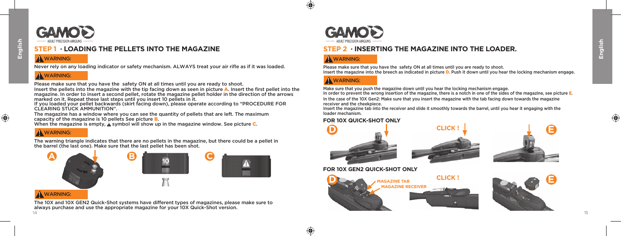

## **STEP 1 · LOADING THE PELLETS INTO THE MAGAZINE**

## **A** WARNING:

Never rely on any loading indicator or safety mechanism. ALWAYS treat your air rifle as if it was loaded.

## **A** WARNING:

Insert the pellets into the magazine with the tip facing down as seen in picture A. Insert the first pellet into the magazine. In order to insert a second pellet, rotate the magazine pellet holder in the direction of the arrows marked on it. Repeat these last steps until you insert 10 pellets in it. Please make sure that you have the safety ON at all times until you are ready to shoot.

If you loaded your pellet backwards (skirt facing down), please operate according to "PROCEDURE FOR CLEARING STUCK AMMUNITION".

The magazine has a window where you can see the quantity of pellets that are left. The maximum capacity of the magazine is 10 pellets See picture B.

When the magazine is empty, **A** symbol will show up in the magazine window. See picture **C**.

# **A** WARNING:

The warning triangle indicates that there are no pellets in the magazine, but there could be a pellet in the barrel (the last one). Make sure that the last pellet has been shot.



## **A** WARNING:

14 15 The 10X and 10X GEN2 Quick-Shot systems have different types of magazines, please make sure to always purchase and use the appropriate magazine for your 10X Quick-Shot version.



# **STEP 2 · INSERTING THE MAGAZINE INTO THE LOADER.**

## **A** WARNING:

 $\bigoplus$ 

⊕

Please make sure that you have the safety ON at all times until you are ready to shoot. Insert the magazine into the breech as indicated in picture D. Push it down until you hear the locking mechanism engage.

# A WARNING:

Make sure that you push the magazine down until you hear the locking mechanism engage.

In order to prevent the wrong insertion of the magazine, there is a notch in one of the sides of the magazine, see picture  $E$ . In the case of the 10X Gen2: Make sure that you insert the magazine with the tab facing down towards the magazine receiver and the cheekpiece.

Insert the magazine tab into the receiver and slide it smoothly towards the barrel, until you hear it engaging with the loader mechanism.

## **FOR 10X QUICK-SHOT ONLY**







## **FOR 10X GEN2 QUICK-SHOT ONLY**

**D E CLICK ! MAGAZINE TAB MAGAZINE RECEIVER** 

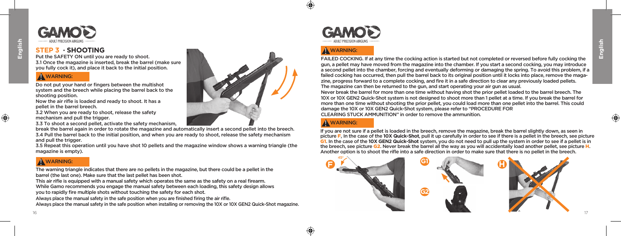

Put the SAFETY ON until you are ready to shoot.

3.1 Once the magazine is inserted, break the barrel (make sure you fully cock it), and place it back to the initial position.

## **A** WARNING:

**English**

⊕

Do not put your hand or fingers between the multishot system and the breech while placing the barrel back to the shooting position.

Now the air rifle is loaded and ready to shoot. It has a pellet in the barrel breech.

3.2 When you are ready to shoot, release the safety mechanism and pull the trigger.

3.3 To shoot a second pellet, activate the safety mechanism,

break the barrel again in order to rotate the magazine and automatically insert a second pellet into the breech. 3.4 Pull the barrel back to the initial position, and when you are ready to shoot, release the safety mechanism and pull the trigger.

3.5 Repeat this operation until you have shot 10 pellets and the magazine window shows a warning triangle (the magazine is empty).

# **A** WARNING:

The warning triangle indicates that there are no pellets in the magazine, but there could be a pellet in the barrel (the last one). Make sure that the last pellet has been shot.

This air rifle is equipped with a manual safety which operates the same as the safety on a real firearm. While Gamo recommends you engage the manual safety between each loading, this safety design allows you to rapidly fire multiple shots without touching the safety for each shot.

Always place the manual safety in the safe position when you are finished firing the air rifle. Always place the manual safety in the safe position when installing or removing the 10X or 10X GEN2 Quick-Shot magazine.





# **A** WARNING:

45

⊕

FAILED COCKING. If at any time the cocking action is started but not completed or reversed before fully cocking the gun, a pellet may have moved from the magazine into the chamber. If you start a second cocking, you may introduce a second pellet into the chamber, forcing and eventually deforming or damaging the spring. To avoid this problem, if a failed cocking has occurred, then pull the barrel back to its original position until it locks into place, remove the magazine, progress forward to a complete cocking, and fire it in a safe direction to clear any previously loaded pellets. The magazine can then be returned to the gun, and start operating your air gun as usual.

Never break the barrel for more than one time without having shot the prior pellet loaded to the barrel breech. The 10X or 10X GEN2 Quick-Shot system is not designed to shoot more than 1 pellet at a time. If you break the barrel for more than one time without shooting the prior pellet, you could load more than one pellet into the barrel. This could damage the 10X or 10X GEN2 Quick-Shot system, please refer to "PROCEDURE FOR CLEARING STUCK AMMUNITION" in order to remove the ammunition.

## **A** WARNING:

If you are not sure if a pellet is loaded in the breech, remove the magazine, break the barrel slightly down, as seen in picture F, In the case of the **10X Quick-Shot**, pull it up carefully in order to see if there is a pellet in the breech, see picture G1. In the case of the **10X GEN2 Quick-Shot** system, you do not need to pull up the system in order to see if a pellet is in the breech, see picture G2. Never break the barrel all the way as you will accidentally load another pellet, see picture H. Another option is to shoot the rifle into a safe direction in order to make sure that there is no pellet in the breech.

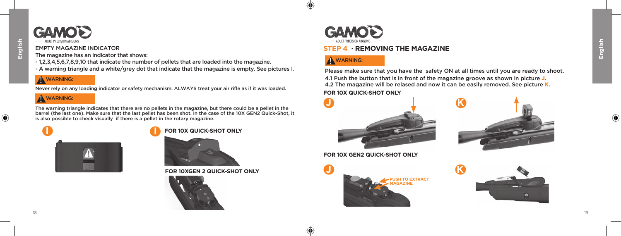$\bigoplus$ 



## EMPTY MAGAZINE INDICATOR

The magazine has an indicator that shows:

- 1,2,3,4,5,6,7,8,9,10 that indicate the number of pellets that are loaded into the magazine.
- A warning triangle and a white/grey dot that indicate that the magazine is empty. See pictures I.

## $\Lambda$  WARNING:

Never rely on any loading indicator or safety mechanism. ALWAYS treat your air rifle as if it was loaded.

## **A** WARNING:

The warning triangle indicates that there are no pellets in the magazine, but there could be a pellet in the barrel (the last one). Make sure that the last pellet has been shot. In the case of the 10X GEN2 Quick-Shot, it is also possible to check visually if there is a pellet in the rotary magazine.



## **FOR 10X QUICK-SHOT ONLY**



**FOR 10XGEN 2 QUICK-SHOT ONLY**





# **STEP 4 · REMOVING THE MAGAZINE**

# **A** WARNING:

**J**

⊕

40

4.1 Push the button that is in front of the magazine groove as shown in picture J. 4.2 The magazine will be relased and now it can be easily removed. See picture K. Please make sure that you have the safety ON at all times until you are ready to shoot. **FOR 10X QUICK-SHOT ONLY**

**K**



**FOR 10X GEN2 QUICK-SHOT ONLY**





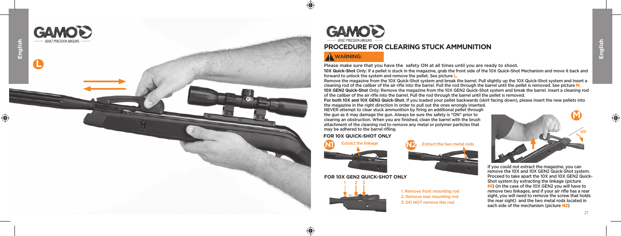



## **PROCEDURE FOR CLEARING STUCK AMMUNITION**

# WARNING:

Please make sure that you have the safety ON at all times until you are ready to shoot.

**10X Quick-Shot** Only: If a pellet is stuck in the magazine, grab the front side of the 10X Quick-Shot Mechanism and move it back and forward to unlock the system and remove the pellet. See picture L.

Remove the magazine from the 10X Quick-Shot system and break the barrel. Pull slightly up the 10X Quick-Shot system and insert a cleaning rod of the caliber of the air rifle into the barrel. Pull the rod through the barrel until the pellet is removed. See picture M. **10X GEN2 Quick-Shot** Only: Remove the magazine from the 10X GEN2 Quick-Shot system and break the barrel. Insert a cleaning rod of the caliber of the air ri fle into the barrel. Pull the rod through the barrel until the pellet is removed.

**For both 10X and 10X GEN2 Quick-Shot.** If you loaded your pellet backwards (skirt facing down), please insert the new pellets into the magazine in the right direction in order to pull out the ones wrongly inserted.

NEVER attempt to clear stuck ammunition by firing an additional pellet through the gun as it may damage the gun. Always be sure the safety is "ON" prior to clearing an obstruction. When you are finished, clean the barrel with the brush attachment of the cleaning rod to remove any metal or polymer particles that may be adhered to the barrel rifling.

## **FOR 10X QUICK-SHOT ONLY**



## **FOR 10X GEN2 QUICK-SHOT ONLY**



 $\bigoplus$ 

1. Remove front mounting rod 2. Remove rear mounting rod 3. DO NOT remove this rod



If you could not extract the magazine, you can remove the 10X and 10X GEN2 Quick-Shot system. Proceed to take apart the 10X and 10X GEN2 Quick-Shot system by extracting the linkage (picture N1) (in the case of the 10X GEN2 you will have to remove two linkages, and if your air rifle has a rear sight, you will need to remove the screw that holds the rear sight) and the two metal rods located in each side of the mechanism (picture N2)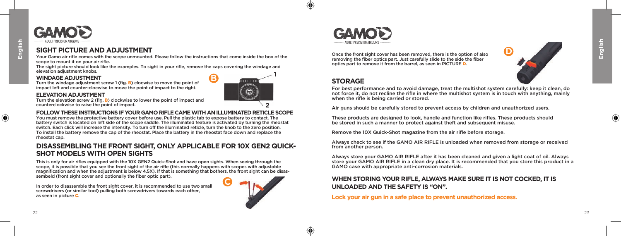$\bigoplus$ 



## **SIGHT PICTURE AND ADJUSTMENT**

Your Gamo air rifle comes with the scope unmounted. Please follow the instructions that come inside the box of the scope to mount it on your air rifle.

The sight picture should look like the examples. To sight in your rifle, remove the caps covering the windage and elevation adjustment knobs. **B**  $\frac{1}{2}$ 

## **WINDAGE ADJUSTMENT**

Turn the windage adjustment screw 1 (fig. B) clocwise to move the point of impact left and counter-clocwise to move the point of impact to the right.

## **ELEVATION ADJUSTMENT**

Turn the elevation screw 2 (fig. B) clockwise to lower the point of impact and counterclockwise to raise the point of impact.

## **FOLLOW THESE INSTRUCTIONS IF YOUR GAMO RIFLE CAME WITH AN ILLUMINATED RETICLE SCOPE**

You must remove the protective battery cover before use. Pull the plastic tab to expose battery to contact. The battery switch is located on left side of the scope saddle. The illuminated feature is activated by turning the rheostat switch. Each click will increase the intensity. To turn off the illuminated reticle, turn the knob to the zero position. To install the battery remove the cap of the rheostat. Place the battery in the rheostat face down and replace the rheostat cap.

## **DISASSEMBLING THE FRONT SIGHT, ONLY APPLICABLE FOR 10X GEN2 QUICK-SHOT MODELS WITH OPEN SIGHTS**

This is only for air rifles equipped with the 10X GEN2 Quick-Shot and have open sights. When seeing through the scope, it is possible that you see the front sight of the air rifle (this normally happens with scopes with adjustable magnification and when the adjustment is below 4.5X). If that is something that bothers, the front sight can be disassembeld (front sight cover and optionally the fiber optic part).

In order to disassemble the front sight cover, it is recommended to use two small screwdrivers (or similar tool) pulling both screwdrivers towards each other, as seen in picture C.



**2**



Once the front sight cover has been removed, there is the option of also removing the fiber optics part. Just carefully slide to the side the fiber optics part to remove it from the barrel, as seen in PICTURE D.



## **STORAGE**

 $\bigoplus$ 

⊕

For best performance and to avoid damage, treat the multishot system carefully: keep it clean, do not force it, do not recline the rifle in where the multishot system is in touch with anything, mainly when the rifle is being carried or stored.

Air guns should be carefully stored to prevent access by children and unauthorized users.

These products are designed to look, handle and function like rifles. These products should be stored in such a manner to protect against theft and subsequent misuse.

Remove the 10X Quick-Shot magazine from the air rifle before storage.

Always check to see if the GAMO AIR RIFLE is unloaded when removed from storage or received from another person.

Always store your GAMO AIR RIFLE after it has been cleaned and given a light coat of oil. Always store your GAMO AIR RIFLE in a clean dry place. It is recommended that you store this product in a GAMO case with appropriate anti-corrosion materials.

## **WHEN STORING YOUR RIFLE, ALWAYS MAKE SURE IT IS NOT COCKED, IT IS UNLOADED AND THE SAFETY IS "ON".**

**Lock your air gun in a safe place to prevent unauthorized access.**

⊕

**English**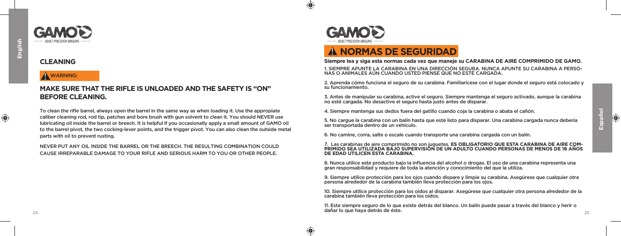⊕

## **CLEANING**

## $\Lambda$  WARNING:

## **MAKE SURE THAT THE RIFLE IS UNLOADED AND THE SAFETY IS "ON" BEFORE CLEANING.**

To clean the rifle barrel, always open the barrel in the same way as when loading it. Use the appropiate caliber cleaning rod, rod tip, patches and bore brush with gun solvent to clean it. You should NEVER use lubricating oil inside the barrel or breech. It is helpful if you occasionally apply a small amount of GAMO oil to the barrel pivot, the two cocking-lever points, and the trigger pivot. You can also clean the outside metal parts with oil to prevent rusting.

NEVER PUT ANY OIL INSIDE THE BARREL OR THE BREECH. THE RESULTING COMBINATION COULD CAUSE IRREPARABLE DAMAGE TO YOUR RIFLE AND SERIOUS HARM TO YOU OR OTHER PEOPLE.



 $\bigcirc$ 

⊕

# ! **NORMAS DE SEGURIDAD**

### **Siempre lea y siga esta normas cada vez que maneje su CARABINA DE AIRE COMPRIMIDO DE GAMO.**

1. SIEMPRE APUNTE LA CARABINA EN UNA DIRECCIÓN SEGURA. NUNCA APUNTE SU CARABINA A PERSO- NAS O ANIMALES AÚN CUANDO USTED PIENSE QUE NO ESTÉ CARGADA.

2. Aprenda cómo funciona el seguro de su carabina. Familiarícese con el lugar donde el seguro está colocado y su funcionamiento.

3. Antes de manipular su carabina, active el seguro. Siempre mantenga el seguro activado, aunque la carabina no esté cargada. No desactive el seguro hasta justo antes de disparar.

4. Siempre mantenga sus dedos fuera del gatillo cuando coja la carabina o abata el cañón.

5. No cargue la carabina con un balín hasta que esté listo para disparar. Una carabina cargada nunca debería ser transportada dentro de un vehículo.

6. No camine, corra, salte o escale cuando transporte una carabina cargada con un balín.

## 7. Las carabinas de aire comprimido no son juguetes. **ES OBLIGATORIO QUE ESTA CARABINA DE AIRE COM- PRIMIDO SEA UTILIZADA BAJO SUPERVISIÓN DE UN ADULTO CUANDO PERSONAS DE MENOS DE 16 AÑOS DE EDAD UTILICEN ESTA CARABINA**

8. Nunca utilice este producto bajo la influencia del alcohol o drogas. El uso de una carabina representa una gran responsabilidad y requiere de toda la atención y conocimiento del que la utiliza.

9. Siempre utilice protección para los ojos cuando dispare y limpie su carabina. Asegúrese que cualquier otra persona alrededor de la carabina también lleva protección para los ojos.

10. Siempre utilice protección para los oídos al disparar. Asegúrese que cualquier otra persona alrededor de la carabina también lleva protección para los oidos.

 $\frac{24}{2}$ 11. Este siempre seguro de lo que existe detrás del blanco. Un balín puede pasar a través del blanco y herir o dañar lo que haya detrás de éste.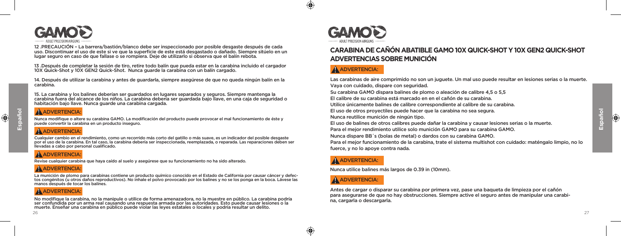

12 .PRECAUCIÓN – La barrera/bastión/blanco debe ser inspeccionado por posible desgaste después de cada uso. Discontinuar el uso de este si ve que la superficie de este está desgastado o dañado. Siempre sitúelo en un lugar seguro en caso de que fallase o se rompiera. Deje de utilizarlo si observa que el balín rebota.

13 .Después de completar la sesión de tiro, retire todo balín que pueda estar en la carabina incluido el cargador 10X Quick-Shot y 10X GEN2 Quick-Shot. Nunca guarde la carabina con un balín cargado.

14. Después de utilizar la carabina y antes de guardarla, siempre asegúrese de que no queda ningún balín en la carabina.

15. La carabina y los balines deberían ser guardados en lugares separados y seguros. Siempre mantenga la carabina fuera del alcance de los niños. La carabina debería ser guardada bajo llave, en una caja de seguridad o habitación bajo llave. Nunca guarde una carabina cargada.

## **A** ADVERTENCIA:

Nunca modifique o altere su carabina GAMO. La modificación del producto puede provocar el mal funcionamiento de éste y puede convertir la carabina en un producto inseguro.

# A ADVERTENCIA:

Cualquier cambio en el rendimiento, como un recorrido más corto del gatillo o más suave, es un indicador del posible desgaste por el uso de la carabina. En tal caso, la carabina debería ser inspeccionada, reemplazada, o reparada. Las reparaciones deben ser llevadas a cabo por personal cualificado.

# **A** ADVERTENCIA:

Revise cualquier carabina que haya caído al suelo y asegúrese que su funcionamiento no ha sido alterado.

# A ADVERTENCIA<sup>.</sup>

La munición de plomo para carabinas contiene un producto químico conocido en el Estado de California por causar cáncer y defectos congénitos (u otros daños reproductivos). No inhale el polvo provocado por los balines y no se los ponga en la boca. Lávese las manos después de tocar los balines.

# **A** ADVERTENCIA:

No modifique la carabina, no la manipule o utilice de forma amenazadora, no la muestre en público. La carabina podría<br>ser confundida por un arma real causando una respuesta armada por las autoridades. Esto puede causar les



 $\bigoplus$ 

⊕

# **CARABINA DE CAÑÓN ABATIBLE GAMO 10X QUICK-SHOT Y 10X GEN2 QUICK-SHOT ADVERTENCIAS SOBRE MUNICIÓN**

# A ADVERTENCIA:

Las carabinas de aire comprimido no son un juguete. Un mal uso puede resultar en lesiones serias o la muerte. Vaya con cuidado, dispare con seguridad. Su carabina GAMO dispara balines de plomo o aleación de calibre 4,5 o 5,5 El calibre de su carabina está marcado en en el cañón de su carabina. Utilice únicamente balines de calibre correspondiente al calibre de su carabina. El uso de otros proyectiles puede hacer que la carabina no sea segura. Nunca reutilice munición de ningún tipo. El uso de balines de otros calibres puede dañar la carabina y causar lesiones serias o la muerte. Para el mejor rendimiento utilice solo munición GAMO para su carabina GAMO. Nunca dispare BB´s (bolas de metal) o dardos con su carabina GAMO. Para el mejor funcionamiento de la carabina, trate el sistema multishot con cuidado: maténgalo limpio, no lo

## A ADVERTENCIA:

fuerce, y no lo apoye contra nada.

Nunca utilice balines más largos de 0.39 in (10mm).

## **A** ADVERTENCIA:

Antes de cargar o disparar su carabina por primera vez, pase una baqueta de limpieza por el cañón para asegurarse de que no hay obstrucciones. Siempre active el seguro antes de manipular una carabina, cargarla o descargarla.

**Español**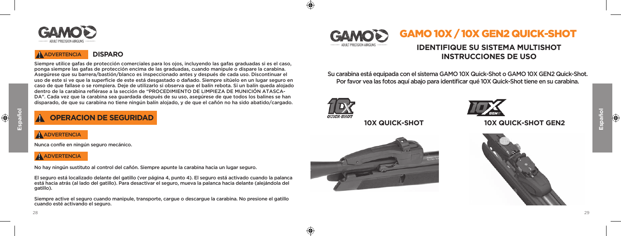

# ! ADVERTENCIA **DISPARO**

Siempre utilice gafas de protección comerciales para los ojos, incluyendo las gafas graduadas si es el caso, ponga siempre las gafas de protección encima de las graduadas, cuando manipule o dispare la carabina. Asegúrese que su barrera/bastión/blanco es inspeccionado antes y después de cada uso. Discontinuar el uso de este si ve que la superficie de este está desgastado o dañado. Siempre sitúelo en un lugar seguro en caso de que fallase o se rompiera. Deje de utilizarlo si observa que el balín rebota. Si un balín queda alojado dentro de la carabina refiérase a la sección de "PROCEDIMIENTO DE LIMPIEZA DE MUNICIÓN ATASCA-DA". Cada vez que la carabina sea guardada después de su uso, asegúrese de que todos los balines se han disparado, de que su carabina no tiene ningún balín alojado, y de que el cañón no ha sido abatido/cargado.

# ! **OPERACION DE SEGURIDAD**

A ADVERTENCIA

Nunca confíe en ningún seguro mecánico.

## **A** ADVERTENCIA

No hay ningún sustituto al control del cañón. Siempre apunte la carabina hacia un lugar seguro.

El seguro está localizado delante del gatillo (ver página 4, punto 4). El seguro está activado cuando la palanca está hacia atrás (al lado del gatillo). Para desactivar el seguro, mueva la palanca hacia delante (alejándola del gatillo).

Siempre active el seguro cuando manipule, transporte, cargue o descargue la carabina. No presione el gatillo cuando esté activando el seguro.



# **IDENTIFIQUE SU SISTEMA MULTISHOT INSTRUCCIONES DE USO**

Su carabina está equipada con el sistema GAMO 10X Quick-Shot o GAMO 10X GEN2 Quick-Shot. Por favor vea las fotos aquí abajo para identificar qué 10X Quick-Shot tiene en su carabina.



45

⊕



# **10X QUICK-SHOT 10X QUICK-SHOT GEN2**



**Español**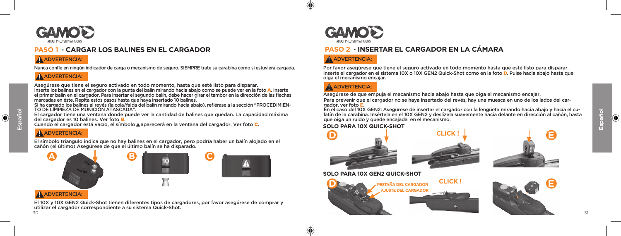

# **PASO 1 · CARGAR LOS BALINES EN EL CARGADOR**

cañón (el último) Asegúrese de que el último balín se ha disparado.

# A ADVERTENCIA:

Nunca confíe en ningún indicador de carga o mecanismo de seguro. SIEMPRE trate su carabina como si estuviera cargada.

## A ADVERTENCIA:

Asegúrese que tiene el seguro activado en todo momento, hasta que esté listo para disparar.

Inserte los balines en el cargador con la punta del balín mirando hacia abajo como se puede ver en la foto A. Inserte el primer balín en el cargador. Para insertar el segundo balín, debe hacer girar el tambor en la dirección de las flechas marcadas en éste. Repita estos pasos hasta que haya insertado 10 balines.

Si ha cargado los balines al revés (la cola/falda del balín mirando hacia abajo), refiérase a la sección "PROCEDIMIEN-TO DE LIMPIEZA DE MUNICIÓN ATASCADA".

El cargador tiene una ventana donde puede ver la cantidad de balines que quedan. La capacidad máxima del cargador es 10 balines. Ver foto B.

El símbolo triangulo indica que no hay balines en el cargador, pero podría haber un balín alojado en el

Cuando el cargador está vacío, el símbolo <u>A</u> aparecerá en la ventana del cargador. Ver foto C.

# A ADVERTENCIA:



El 10X y 10X GEN2 Quick-Shot tienen diferentes tipos de cargadores, por favor asegúrese de comprar y utilizar el cargador correspondiente a su sistema Quick-Shot.



# **PASO 2 · INSERTAR EL CARGADOR EN LA CÁMARA**

# A ADVERTENCIA:

Inserte el cargador en el sistema 10X o 10X GEN2 Quick-Shot como en la foto D. Pulse hacia abajo hasta que oiga el mecanismo encajar. Por favor asegúrese que tiene el seguro activado en todo momento hasta que esté listo para disparar.

# A ADVERTENCIA:

⊕

Asegúrese de que empuja el mecanismo hacia abajo hasta que oiga el mecanismo encajar.

Para prevenir que el cargador no se haya insertado del revés, hay una muesca en uno de los lados del cargador, ver foto E.

En el caso del 10X GEN2: Asegúrese de insertar el cargador con la lengüeta mirando hacia abajo y hacía el culatín de la carabina. Insértela en el 10X GEN2 y deslízela suavemente hacia delante en dirección al cañón, hasta que oiga un ruido y quede encajada en el mecanismo.

## **SOLO PARA 10X QUICK-SHOT**







## **SOLO PARA 10X GEN2 QUICK-SHOT**





**Español**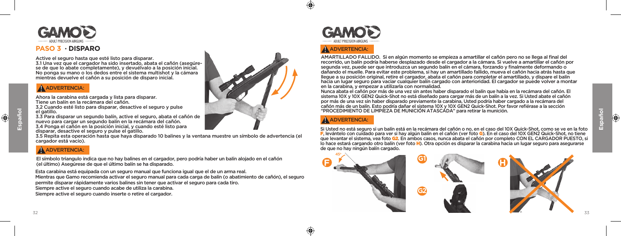

## **PASO 3 · DISPARO**

Active el seguro hasta que esté listo para disparar.

3.1 Una vez que el cargador ha sido insertado, abata el cañón (asegúrese de que lo abate completamente), y devuélvalo a la posición inicial. No ponga su mano o los dedos entre el sistema multishot y la cámara mientras devuelve el cañón a su posición de disparo inicial.

## A ADVERTENCIA:

Ahora la carabina está cargada y lista para disparar. Tiene un balín en la recámara del cañón.

3.2 Cuando esté listo para disparar, desactive el seguro y pulse el gatillo.

3.3 Para disparar un segundo balín, active el seguro, abata el cañón de nuevo para cargar un segundo balín en la recámara del cañón. 3.4 Ponga el cañón en la posición inicial, y cuando esté listo para disparar, desactive el seguro y pulse el gatillo.

3.5 Repita esta operación hasta que haya disparado 10 balines y la ventana muestre un símbolo de advertencia (el cargador está vacío).

# $\Lambda$  ADVERTENCIA:

El símbolo triangulo indica que no hay balines en el cargador, pero podría haber un balín alojado en el cañón **F alaber a de la campa de la campa de la campa de la campa de la campa de la campa de la campa de la campa de l** 

Esta carabina está equipada con un seguro manual que funciona igual que el de un arma real. Mientras que Gamo recomienda activar el seguro manual para cada carga de balín (o abatimiento de cañón), el seguro permite disparar rápidamente varios balines sin tener que activar el seguro para cada tiro. Siempre active el seguro cuando acabe de utiliza la carabina. Siempre active el seguro cuando inserte o retire el cargador.



45

⊕

# **A** ADVERTENCIA:

AMARTILLADO FALLIDO. Si en algún momento se empieza a amartillar el cañón pero no se llega al final del recorrido, un balín podría haberse desplazado desde el cargador a la cámara. Si vuelve a amartillar el cañón por segunda vez, puede ser que introduzca un segundo balín en el cámara, forzando y finalmente deformando o dañando el muelle. Para evitar este problema, si hay un amartillado fallido, mueva el cañón hacia atrás hasta que llegue a su posición original, retire el cargador, abata el cañón para completar el amartillado, y dispare el balín hacia un lugar seguro para vaciar cualquier balín cargado con anterioridad. El cargador se puede volver a montar en la carabina, y empezar a utilizarla con normalidad.

Nunca abata el cañón por más de una vez sin antes haber disparado el balín que había en la recámara del cañón. El sistema 10X y 10X GEN2 Quick-Shot no está diseñado para cargar más de un balín a la vez. Si Usted abate el cañón por más de una vez sin haber disparado previamente la carabina, Usted podría haber cargado a la recámara del cañón más de un balín. Esto podría dañar el sistema 10X y 10X GEN2 Quick-Shot. Por favor refiérase a la sección "PROCEDIMIENTO DE LIMPIEZA DE MUNICIÓN ATASCADA" para retirar la munición.

# **A** ADVERTENCIA:

Si Usted no está seguro si un balín está en la recámara del cañón o no, en el caso del 10X Quick-Shot, como se ve en la foto F, levántelo con cuidado para ver si hay algún balín en el cañón (ver foto G). En el caso del 10X GEN2 Quick-Shot, no tiene que levantar el sistema, vea foto G2. En ambos casos, nunca abata el cañón por completo CON EL CARGADOR PUESTO, si lo hace estará cargando otro balín (ver foto H). Otra opción es disparar la carabina hacia un lugar seguro para asegurarse de que no hay ningún balín cargado.

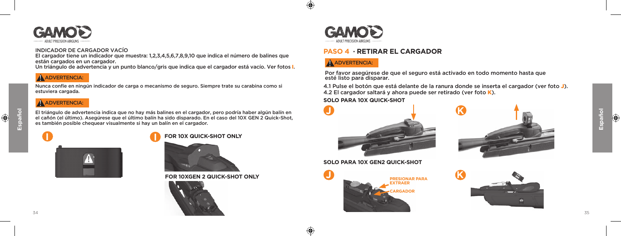

## INDICADOR DE CARGADOR VACÍO

El cargador tiene un indicador que muestra: 1,2,3,4,5,6,7,8,9,10 que indica el número de balines que están cargados en un cargador.

Un triángulo de advertencia y un punto blanco/gris que indica que el cargador está vacío. Ver fotos I.

## A ADVERTENCIA:

Nunca confíe en ningún indicador de carga o mecanismo de seguro. Siempre trate su carabina como si estuviera cargada.

## A ADVERTENCIA:

El triángulo de advertencia indica que no hay más balines en el cargador, pero podría haber algún balín en el cañón (el último). Asegúrese que el último balín ha sido disparado. En el caso del 10X GEN 2 Quick-Shot, es también posible chequear visualmente si hay un balín en el cargador.



 $\bigoplus$ 





**FOR 10XGEN 2 QUICK-SHOT ONLY**





 $\bigoplus$ 

↔

# **PASO 4 · RETIRAR EL CARGADOR**

# A ADVERTENCIA:

Por favor asegúrese de que el seguro está activado en todo momento hasta que esté listo para disparar.

4.1 Pulse el botón que está delante de la ranura donde se inserta el cargador (ver foto J). 4.2 El cargador saltará y ahora puede ser retirado (ver foto K).

## **SOLO PARA 10X QUICK-SHOT**









**Español**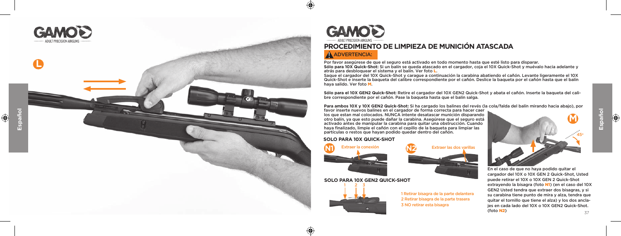



 $\bigoplus$ 

 $\bigoplus$ 

# **PROCEDIMIENTO DE LIMPIEZA DE MUNICIÓN ATASCADA**

## **A** ADVERTENCIA:

Por favor asegúrese de que el seguro está activado en todo momento hasta que esté listo para disparar. **Sólo para 10X Quick-Shot:** Si un balín se queda atascado en el cargador, coja el 10X Quick-Shot y muévalo hacia adelante y atrás para desbloquear el sistema y el balín. Ver foto L.

Saque el cargador del 10X Quick-Shot y carague a continuación la carabina abatiendo el cañón. Levante ligeramente el 10X Quick-Shot e inserte la baqueta del calibre correspondiente por el cañón. Deslice la baqueta por el cañón hasta que el balín haya salido. Ver foto M.

**Sólo para el 10X GEN2 Quick-Shot:** Retire el cargador del 10X GEN2 Quick-Shot y abata el cañón. Inserte la baqueta del cali bre correspondiente por el cañón. Pase la baqueta hasta que el balín salga.

**Para ambos 10X y 10X GEN2 Quick-Shot:** Si ha cargado los balines del revés (la cola/falda del balín mirando hacia abajo), por

favor inserte nuevos balines en el cargador de forma correcta para hacer caer los que estan mal colocados. NUNCA intente desatascar munición disparando otro balín, ya que esto puede dañar la carabina. Asegúrese que el seguro está activado antes de manipular la carabina para quitar una obstrucción. Cuando haya finalizado, limpie el cañón con el cepillo de la baqueta para limpiar las partículas o restos que hayan podido quedar dentro del cañón.

## **SOLO PARA 10X QUICK-SHOT**



## **SOLO PARA 10X GEN2 QUICK-SHOT**



1 Retirar bisagra de la parte delantera 2 Retirar bisagra de la parte trasera 3 NO retirar esta bisagra

**M** 45

En el caso de que no haya podido quitar el cargador del 10X o 10X GEN 2 Quick-Shot, Usted puede retirar el 10X o 10X GEN 2 Quick-Shot extrayendo la bisagra (foto N1) (en el caso del 10X GEN2 Usted tendra que extraer dos bisagras, y si su carabina tiene punto de mira y alza, tendra que quitar el tornillo que tiene el alza) y los dos ancla jes en cada lado del 10X o 10X GEN2 Quick-Shot. (foto N2 )

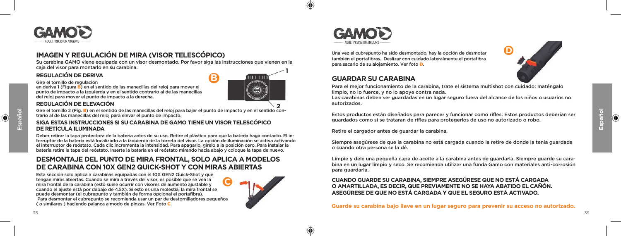

# **IMAGEN Y REGULACIÓN DE MIRA (VISOR TELESCÓPICO)**

Su carabina GAMO viene equipada con un visor desmontado. Por favor siga las instrucciones que vienen en la caja del visor para montarlo en su carabina. **1**

## **REGULACIÓN DE DERIVA**

Gire el tornillo de regulación

en deriva 1 (Figura B) en el sentido de las manecillas del reloj para mover el punto de impacto a la izquierda y en el sentido contrario al de las manecillas del reloj para mover el punto de impacto a la derecha.



**B**

## **REGULACIÓN DE ELEVACIÓN**

Gire el tornillo 2 (Fig. B) en el sentido de las manecillas del reloj para bajar el punto de impacto y en el sentido con-**2** trario al de las manecillas del reloj para elevar el punto de impacto.

## **SIGA ESTAS INSTRUCCIONES SI SU CARABINA DE GAMO TIENE UN VISOR TELESCÓPICO DE RETÍCULA ILUMINADA**

Deber retirar la tapa protectora de la batería antes de su uso. Retire el plástico para que la batería haga contacto. El interruptor de la batería está localizado a la izquierda de la torreta del visor. La opción de iluminación se activa activando el interruptor de reóstato. Cada clic incrementa la intensidad. Para apagarlo, gírelo a la posición cero. Para instalar la batería retire la tapa del reóstato. Inserte la batería en el reóstato mirando hacia abajo y coloque la tapa de nuevo.

## **DESMONTAJE DEL PUNTO DE MIRA FRONTAL, SOLO APLICA A MODELOS DE CARABINA CON 10X GEN2 QUICK-SHOT Y CON MIRAS ABIERTAS**

Esta sección solo aplica a carabinas equipadas con el 10X GEN2 Quick-Shot y que tengan miras abiertas. Cuando se mira a través del visor, es posible que se vea la mira frontal de la carabina (esto suele ocurrir con visores de aumento ajustable y cuando el ajuste está por debajo de 4.5X). Si esto es una molestia, la mira frontal se puede desmontar (el cubrepunto y también de forma opcional el portafibra). Para desmontar el cubrepunto se recomienda usar un par de destornilladores pequeños ( o similares ) haciendo palanca a modo de pinzas. Ver Foto C. **C**





 $\bigoplus$ 

⊕

Una vez el cubrepunto ha sido desmontado, hay la opción de desmotar también el portafibras. Deslizar con cuidado lateralmente el portafibra para sacarlo de su alojamiento. Ver foto D.

## **GUARDAR SU CARABINA**



Para el mejor funcionamiento de la carabina, trate el sistema multishot con cuidado: maténgalo limpio, no lo fuerce, y no lo apoye contra nada.

Las carabinas deben ser guardadas en un lugar seguro fuera del alcance de los niños o usuarios no autorizados.

Estos productos están diseñados para parecer y funcionar como rifles. Estos productos deberían ser guardados como si se trataran de rifles para protegerlos de uso no autorizado o robo.

Retire el cargador antes de guardar la carabina.

Siempre asegúrese de que la carabina no está cargada cuando la retire de donde la tenía guardada o cuando otra persona se la dé.

Limpie y dele una pequeña capa de aceite a la carabina antes de guardarla. Siempre guarde su carabina en un lugar limpio y seco. Se recomienda utilizar una funda Gamo con materiales anti-corrosión para guardarla.

**CUANDO GUARDE SU CARABINA, SIEMPRE ASEGÚRESE QUE NO ESTÁ CARGADA O AMARTILLADA, ES DECIR, QUE PREVIAMENTE NO SE HAYA ABATIDO EL CAÑÓN. ASEGÚRESE DE QUE NO ESTÁ CARGADA Y QUE EL SEGURO ESTÁ ACTIVADO.** 

**Guarde su carabina bajo llave en un lugar seguro para prevenir su acceso no autorizado.** 

 $\bigcirc$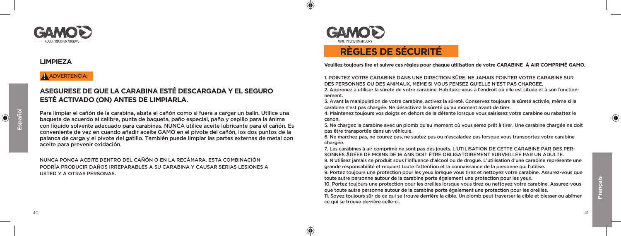

## **LIMPIEZA**

## A ADVERTENCIA:

# **ASEGURESE DE QUE LA CARABINA ESTÉ DESCARGADA Y EL SEGURO ESTÉ ACTIVADO (ON) ANTES DE LIMPIARLA.**

Para limpiar el cañón de la carabina, abata el cañón como si fuera a cargar un balín. Utilice una baqueta de acuerdo al calibre, punta de baqueta, paño especial, paño y cepillo para la ánima con líquido solvente adecuado para carabinas. NUNCA utilice aceite lubricante para el cañón. Es conveniente de vez en cuando añadir aceite GAMO en el pivote del cañón, los dos puntos de la palanca de carga y el pivote del gatillo. También puede limpiar las partes externas de metal con aceite para prevenir oxidación.

NUNCA PONGA ACEITE DENTRO DEL CAÑÓN O EN LA RECÁMARA. ESTA COMBINACIÓN PODRÍA PRODUCIR DAÑOS IRREPARABLES A SU CARABINA Y CAUSAR SERIAS LESIONES A USTED Y A OTRAS PERSONAS.



 $\bigcirc$ 

⊕

# **RÈGLES DE SÉCURITÉ**

**Veuillez toujours lire et suivre ces règles pour chaque utilisation de votre CARABINE À AIR COMPRIMÉ GAMO.**

1. POINTEZ VOTRE CARABINE DANS UNE DIRECTION SÛRE. NE JAMAIS POINTER VOTRE CARABINE SUR DES PERSONNES OU DES ANIMAUX, MEME SI VOUS PENSEZ QU'ELLE N'EST PAS CHARGEE.

2. Apprenez à utiliser la sûreté de votre carabine. Habituez-vous à l'endroit où elle est située et à son fonctionnement.

3. Avant la manipulation de votre carabine, activez la sûreté. Conservez toujours la sûreté activée, même si la carabine n'est pas chargée. Ne désactivez la sûreté qu'au moment avant de tirer.

4. Maintenez toujours vos doigts en dehors de la détente lorsque vous saisissez votre carabine ou rabattez le canon.

5. Ne chargez la carabine avec un plomb qu'au moment où vous serez prêt à tirer. Une carabine chargée ne doit pas être transportée dans un véhicule.

6. Ne marchez pas, ne courez pas, ne sautez pas ou n'escaladez pas lorsque vous transportez votre carabine chargée.

7. Les carabines à air comprimé ne sont pas des jouets. L'UTILISATION DE CETTE CARABINE PAR DES PER-SONNES ÂGÉES DE MOINS DE 16 ANS DOIT ÊTRE OBLIGATOIREMENT SURVEILLÉE PAR UN ADULTE.

8. N'utilisez jamais ce produit sous l'influence d'alcool ou de drogue. L'utilisation d'une carabine représente une grande responsabilité et requiert toute l'attention et la connaissance de la personne qui l'utilise.

9. Portez toujours une protection pour les yeux lorsque vous tirez et nettoyez votre carabine. Assurez-vous que toute autre personne autour de la carabine porte également une protection pour les yeux.

10. Portez toujours une protection pour les oreilles lorsque vous tirez ou nettoyez votre carabine. Assurez-vous que toute autre personne autour de la carabine porte également une protection pour les oreilles.

11. Soyez toujours sûr de ce qui se trouve derrière la cible. Un plomb peut traverser la cible et blesser ou abîmer ce qui se trouve derrière celle-ci.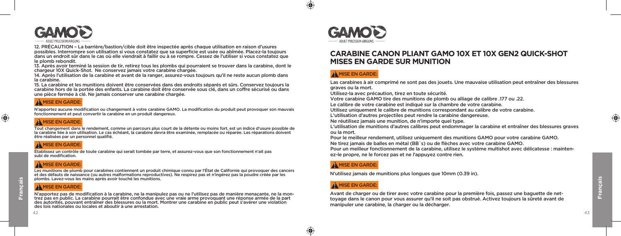

12. PRÉCAUTION – La barrière/bastion/cible doit être inspectée après chaque utilisation en raison d'usures possibles. Interrompre son utilisation si vous constatez que sa superficie est usée ou abîmée. Placez-la toujours dans un endroit sûr dans le cas où elle viendrait à faillir ou à se rompre. Cessez de l'utiliser si vous constatez que le plomb rebondit.

13. Après avoir terminé la session de tir, retirez tous les plombs qui pourraient se trouver dans la carabine, dont le chargeur 10X Quick-Shot. Ne conservez jamais votre carabine chargée.

14. Après l'utilisation de la carabine et avant de la ranger, assurez-vous toujours qu'il ne reste aucun plomb dans la carabine.

15. La carabine et les munitions doivent être conservées dans des endroits séparés et sûrs. Conservez toujours la carabine hors de la portée des enfants. La carabine doit être conservée sous clé, dans un coffre sécurisé ou dans une pièce fermée à clé. Ne jamais conserver une carabine chargée.

## A MISE EN GARDE:

N'apportez aucune modification ou changement à votre carabine GAMO. La modification du produit peut provoquer son mauvais fonctionnement et peut convertir la carabine en un produit dangereux.

# $A$  MISE EN GARDE:

Tout changement dans le rendement, comme un parcours plus court de la détente ou moins fort, est un indice d'usure possible de la carabine liée à son utilisation. Le cas échéant, la carabine devra être examinée, remplacée ou réparée. Les réparations doivent être réalisées par un personnel qualifié.

## **A** MISE EN GARDE:

Établissez un contrôle de toute carabine qui serait tombée par terre, et assurez-vous que son fonctionnement n'ait pas subi de modification.

## **A** MISE EN GARDE

Les munitions de plomb pour carabines contiennent un produit chimique connu par l'État de Californie qui provoquer des cancers et des défauts de naissance (ou autres malformations reproductives). Ne respirez pas et n'ingérez pas la poudre créée par les plombs. Lavez-vous les mains après avoir touché les munitions.

N'apportez pas de modification à la carabine, ne la manipulez pas ou ne l'utilisez pas de manière menaçante, ne la mon-<br>trez pas en public. La carabine pourrait être confondue avec une vraie arme provoquant une réponse arm des lois nationales ou locales et aboutir à une arrestation. A MISE EN GARDE:<br>N'apportez pas de modification à la carabine, ne la manipulez pas ou ne l'utilisez pas de manière menacante, ne la mon-



 $\bigoplus$ 

⊕

# **CARABINE CANON PLIANT GAMO 10X ET 10X GEN2 QUICK-SHOT MISES EN GARDE SUR MUNITION**

# $A$  MISE EN GARDE:

Las carabines à air comprimé ne sont pas des jouets. Une mauvaise utilisation peut entraîner des blessures graves ou la mort.

Utilisez-la avec précaution, tirez en toute sécurité.

Votre carabine GAMO tire des munitions de plomb ou alliage de calibre .177 ou .22.

Le calibre de votre carabine est indiqué sur la chambre de votre carabine.

Utilisez uniquement le calibre de munitions correspondant au calibre de votre carabine.

L'utilisation d'autres projectiles peut rendre la carabine dangereuse.

Ne réutilisez jamais une munition, de n'importe quel type.

L'utilisation de munitions d'autres calibres peut endommager la carabine et entraîner des blessures graves ou la mort.

Pour le meilleur rendement, utilisez uniquement des munitions GAMO pour votre carabine GAMO.

Ne tirez jamais de balles en métal (BB´s) ou de flèches avec votre carabine GAMO.

Pour un meilleur fonctionnement de la carabine, utilisez le système multishot avec délicatesse : maintenez-le propre, ne le forcez pas et ne l'appuyez contre rien.

## **A** MISE EN GARDE:

N'utilisez jamais de munitions plus longues que 10mm (0.39 in).

## $A$  MISE EN GARDE:

Avant de charger ou de tirer avec votre carabine pour la première fois, passez une baguette de nettoyage dans le canon pour vous assurer qu'il ne soit pas obstrué. Activez toujours la sûreté avant de manipuler une carabine, la charger ou la décharger.

**Français**

⊕

 $\bigoplus$ 

42 43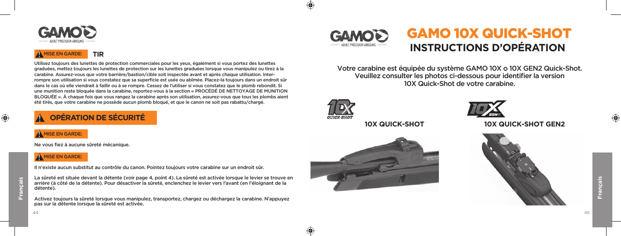

#### **TIR**  $A$  MISE EN GARDE:

Utilisez toujours des lunettes de protection commerciales pour les yeux, également si vous portez des lunettes graduées, mettez toujours les lunettes de protection sur les lunettes graduées lorsque vous manipulez ou tirez à la carabine. Assurez-vous que votre barrière/bastion/cible soit inspectée avant et après chaque utilisation. Interrompre son utilisation si vous constatez que sa superficie est usée ou abîmée. Placez-la toujours dans un endroit sûr dans le cas où elle viendrait à faillir ou à se rompre. Cessez de l'utiliser si vous constatez que le plomb rebondit. Si une munition reste bloquée dans la carabine, reportez-vous à la section « PROCÉDÉ DE NETTOYAGE DE MUNITION BLOQUÉE ». À chaque fois que vous rangez la carabine après son utilisation, assurez-vous que tous les plombs aient été tirés, que votre carabine ne possède aucun plomb bloqué, et que le canon ne soit pas rabattu/chargé.

# ! **OPÉRATION DE SÉCURITÉ**

Ne vous fiez à aucune sûreté mécanique.

## $A$  MISE EN GARDE:

Il n'existe aucun substitut au contrôle du canon. Pointez toujours votre carabine sur un endroit sûr.

La sûreté est située devant la détente (voir page 4, point 4). La sûreté est activée lorsque le levier se trouve en arrière (à côté de la détente). Pour désactiver la sûreté, enclenchez le levier vers l'avant (en l'éloignant de la détente).

Activez toujours la sûreté lorsque vous manipulez, transportez, chargez ou déchargez la carabine. N'appuyez pas sur la détente lorsque la sûreté est activée.

# GAMO 10X QUICK-SHOT GAMOI **INSTRUCTIONS D'OPÉRATION**

Votre carabine est équipée du système GAMO 10X o 10X GEN2 Quick-Shot. Veuillez consulter les photos ci-dessous pour identifier la version 10X Quick-Shot de votre carabine.



⊕





**10X QUICK-SHOT 10X QUICK-SHOT GEN2**



 $\bigoplus$ 

**Français**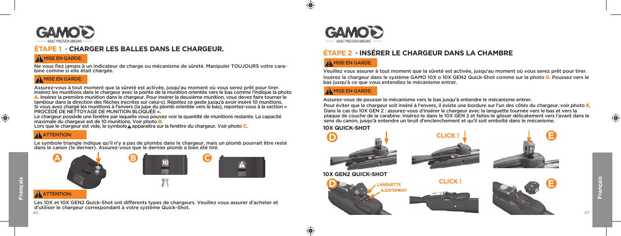

# **ÉTAPE 1 · CHARGER LES BALLES DANS LE CHARGEUR.**

## $A$  MISE EN GARDE:

Ne vous fiez jamais à un indicateur de charge ou mécanisme de sûreté. Manipuler TOUJOURS votre carabine comme si elle était chargée.

# $A$  MISE EN GARDE:

Insérez les munitions dans le chargeur avec la pointe de la munition orientée vers le bas comme l'indique la photo A. Insérez la première munition dans le chargeur. Pour insérer la deuxième munition, vous devez faire tourner le tambour dans la direction des flèches inscrites sur celui-ci. Répétez ce geste jusqu'à avoir inséré 10 munitions. Si vous avez chargé les munitions à l'envers (la jupe du plomb orientée vers le bas), reportez-vous à la section « PROCÉDÉ DE NETTOYAGE DE MUNITION BLOQUÉE ». Assurez-vous à tout moment que la sûreté est activée, jusqu'au moment où vous serez prêt pour tirer.

Le chargeur possède une fenêtre par laquelle vous pouvez voir la quantité de munitions restante. La capacité maximale du chargeur est de 10 munitions. Voir photo B. maximale du chargeur est de 10 munitions. Voir photo <mark>B.</mark><br>Lors que le chargeur est vide, le symbole **A** apparaitra sur la fenêtre du chargeur. Voir photo **C**.

# **A** ATTENTION:

Le symbole triangle indique qu'il n'y a pas de plombs dans le chargeur, mais un plomb pourrait être resté dans le canon (le dernier). Assurez-vous que le dernier plomb a bien été tiré.

⊕





# **ATTENTION:**

 $46$ Les 10X et 10X GEN2 Quick-Shot ont différents types de chargeurs. Veuillez vous assurer d'acheter et d'utiliser le chargeur correspondant à votre système Quick-Shot.



# **ÉTAPE 2 · INSÉRER LE CHARGEUR DANS LA CHAMBRE**

# A MISE EN GARDE:

Insérez le chargeur dans le système GAMO 10X o 10X GEN2 Quick-Shot comme sur la photo D. Poussez vers le bas jusqu'à ce que vous entendiez le mécanisme entrer. Veuillez vous assurer à tout moment que la sûreté est activée, jusqu'au moment où vous serez prêt pour tirer.

## A MISE EN GARDE:

Assurez-vous de pousser le mécanisme vers le bas jusqu'à entendre le mécanisme entrer.

Pour éviter que le chargeur soit inséré à l'envers, il existe une bordure sur l'un des côtés du chargeur, voir photo E. Dans le cas du 10X GEN 2 : assurez-vous d'insérer le chargeur avec la languette tournée vers le bas et vers la plaque de couche de la carabine. Insérez-le dans le 10X GEN 2 et faites-le glisser délicatement vers l'avant dans le sens du canon, jusqu'à entendre un bruit d'enclenchement et qu'il soit emboîté dans le mécanisme.



⊕









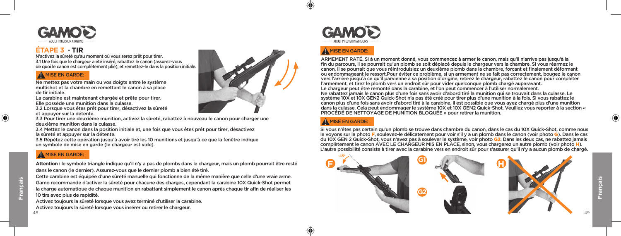

# **ÉTAPE 3 · TIR**

N'activez la sûreté qu'au moment où vous serez prêt pour tirer. 3.1 Une fois que le chargeur a été inséré, rabattez le canon (assurez-vous de quoi le canon est complètement plié), et remettez-le dans la position initiale.

## A MISE EN GARDE:

Ne mettez pas votre main ou vos doigts entre le système multishot et la chambre en remettant le canon à sa place de tir initiale.

La carabine est maintenant chargée et prête pour tirer. Elle possède une munition dans la culasse.

3.2 Lorsque vous êtes prêt pour tirer, désactivez la sûreté et appuyer sur la détente.

3.3 Pour tirer une deuxième munition, activez la sûreté, rabattez à nouveau le canon pour charger une deuxième munition dans la culasse.

3.4 Mettez le canon dans la position initiale et, une fois que vous êtes prêt pour tirer, désactivez la sûreté et appuyer sur la détente.

3.5 Répétez cette opération jusqu'à avoir tiré les 10 munitions et jusqu'à ce que la fenêtre indique un symbole de mise en garde (le chargeur est vide).

## A MISE EN GARDE:

**Attention :** le symbole triangle indique qu'il n'y a pas de plombs dans le chargeur, mais un plomb pourrait être resté dans le canon (le dernier). Assurez-vous que le dernier plomb a bien été tiré.

Cette carabine est équipée d'une sûreté manuelle qui fonctionne de la même manière que celle d'une vraie arme. Gamo recommande d'activer la sûreté pour chacune des charges, cependant la carabine 10X Quick-Shot permet la charge automatique de chaque munition en rabattant simplement le canon après chaque tir afin de réaliser les 10 tirs avec plus de rapidité.

Activez toujours la sûreté lorsque vous avez terminé d'utiliser la carabine. Activez toujours la sûreté lorsque vous insérer ou retirer le chargeur.





# $A$  MISE EN GARDE:

Ne rabattez jamais le canon plus d'une fois sans avoir d'abord tiré la munition qui se trouvait dans la culasse. Le système 10X et 10X GEN2 Quick-Shot n'a pas été créé pour tirer plus d'une munition à la fois. Si vous rabattez le canon plus d'une fois sans avoir d'abord tiré à la carabine, il est possible que vous ayez chargé plus d'une munition dans la culasse. Cela peut endommager le système 10X et 10X GEN2 Quick-Shot. Veuillez vous reporter à la section « PROCÉDÉ DE NETTOYAGE DE MUNITION BLOQUÉE » pour retirer la munition. ARMEMENT RATÉ. Si à un moment donné, vous commencez à armer le canon, mais qu'il n'arrive pas jusqu'à la fin du parcours, il se pourrait qu'un plomb se soit déplacé depuis le chargeur vers la chambre. Si vous réarmez le canon, il se pourrait que vous réintroduisiez un deuxième plomb dans la chambre, forçant et finalement déformant ou endommageant le ressort.Pour éviter ce problème, si un armement ne se fait pas correctement, bougez le canon vers l'arrière jusqu'à ce qu'il parvienne à sa position d'origine, retirez le chargeur, rabattez le canon pour compléter l'armement, et tirez le plomb vers un endroit sûr pour vider quelconque plomb chargé auparavant. Le chargeur peut être remonté dans la carabine, et l'on peut commencer à l'utiliser normalement.

# A MISE EN GARDE:

⊕

Si vous n'êtes pas certain qu'un plomb se trouve dans chambre du canon, dans le cas du 10X Quick-Shot, comme nous le voyons sur la photo F, soulevez-le délicatement pour voir s'il y a un plomb dans le canon (voir photo G). Dans le cas du 10X GEN 2 Quick-Shot, vous n'avez pas à soulever le système, voir photo G2. Dans les deux cas, ne rabattez jamais complètement le canon AVEC LE CHARGEUR MIS EN PLACE, sinon, vous chargerez un autre plomb (voir photo H). L'autre possibilité consiste à tirer avec la carabine vers en endroit sûr pour s'assurer qu'il n'y a aucun plomb de chargé.



**Français**

⊕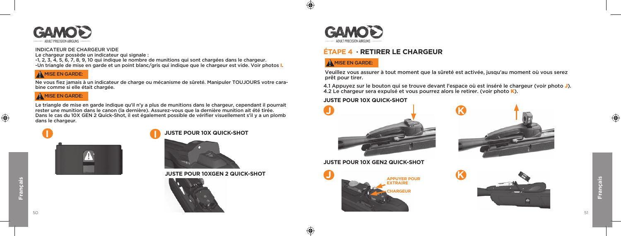

## INDICATEUR DE CHARGEUR VIDE

Le chargeur possède un indicateur qui signale :

-1, 2, 3, 4, 5, 6, 7, 8, 9, 10 qui indique le nombre de munitions qui sont chargées dans le chargeur. -Un triangle de mise en garde et un point blanc/gris qui indique que le chargeur est vide. Voir photos I.

Ne vous fiez jamais à un indicateur de charge ou mécanisme de sûreté. Manipuler TOUJOURS votre carabine comme si elle était chargée.

## $A$  MISE EN GARDE:

Le triangle de mise en garde indique qu'il n'y a plus de munitions dans le chargeur, cependant il pourrait rester une munition dans le canon (la dernière). Assurez-vous que la dernière munition ait été tirée. Dans le cas du 10X GEN 2 Quick-Shot, il est également possible de vérifier visuellement s'il y a un plomb dans le chargeur.





**JUSTE POUR 10XGEN 2 QUICK-SHOT**





 $\bigoplus$ 

↔

# **ÉTAPE 4 · RETIRER LE CHARGEUR**

# $\bigwedge$  MISE EN GARDE:

Veuillez vous assurer à tout moment que la sûreté est activée, jusqu'au moment où vous serez wisselve to the set of the set of the set of the set of the set of the set of the set of the set of the set of the set of the set of the set of the set of the set of the set of the set of the set of the set of the set of t

> 4.1 Appuyez sur le bouton qui se trouve devant l'espace où est inséré le chargeur (voir photo J). 4.2 Le chargeur sera expulsé et vous pourrez alors le retirer. (voir photo K).

## **JUSTE POUR 10X QUICK-SHOT**





**JUSTE POUR 10X GEN2 QUICK-SHOT**



 $\bigoplus$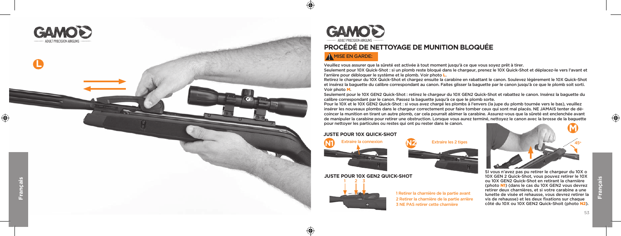



# **PROCÉDÉ DE NETTOYAGE DE MUNITION BLOQUÉE**

# MISE EN GARDE:

 $\bigoplus$ 

Veuillez vous assurer que la sûreté est activée à tout moment jusqu'à ce que vous soyez prêt à tirer.

Seulement pour 10X Quick-Shot : si un plomb reste bloqué dans le chargeur, prenez le 10X Quick-Shot et déplacez-le vers l'avant et l'arrière pour débloquer le système et le plomb. Voir photo L.

Retirez le chargeur du 10X Quick-Shot et chargez ensuite la carabine en rabattant le canon. Soulevez légèrement le 10X Quick-Shot et insérez la baguette du calibre correspondant au canon. Faites glisser la baguette par le canon jusqu'à ce que le plomb soit sorti. Voir photo M.

Seulement pour le 10X GEN2 Quick-Shot : retirez le chargeur du 10X GEN2 Quick-Shot et rabattez le canon. Insérez la baguette du calibre correspondant par le canon. Passez la baguette jusqu'à ce que le plomb sorte.

Pour le 10X et le 10X GEN2 Quick-Shot : si vous avez chargé les plombs à l'envers (la jupe du plomb tournée vers le bas), veuillez insérer les nouveaux plombs dans le chargeur correctement pour faire tomber ceux qui sont mal placés. NE JAMAIS tenter de dé coincer la munition en tirant un autre plomb, car cela pourrait abimer la carabine. Assurez-vous que la sûreté est enclenchée avant de manipuler la carabine pour retirer une obstruction. Lorsque vous aurez terminé, nettoyez le canon avec la brosse de la baguette pour nettoyer les particules ou restes qui ont pu rester dans le canon.

## **JUSTE POUR 10X QUICK-SHOT**





**JUSTE POUR 10X GEN2 QUICK-SHOT** 3



1 2

↔

1 Retirer la charnière de la partie avant 2 Retirer la charnière de la partie arrière 3 NE PAS retirer cette charnière

SI vous n'avez pas pu retirer le chargeur du 10X o 10X GEN 2 Quick-Shot, vous pouvez retirer le 10X ou 10X GEN2 Quick-Shot en retirant la charnière (photo N1) (dans le cas du 10X GEN2 vous devrez retirer deux charnières, et si votre carabine a une lunette de visée et rehausse, vous devrez retirer la vis de rehausse) et les deux fixations sur chaque côté du 10X ou 10X GEN2 Quick-Shoit (photo N2).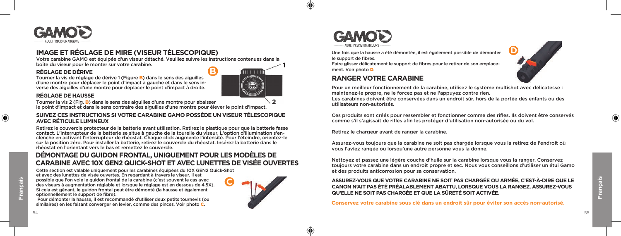

# **IMAGE ET RÉGLAGE DE MIRE (VISEUR TÉLESCOPIQUE)**

verse des aiguilles d'une montre pour déplacer le point d'impact à droite.

Votre carabine GAMO est équipée d'un viseur détaché. Veuillez suivre les instructions contenues dans la boîte du viseur pour le monter sur votre carabine.

# Tourner la vis de réglage de dérive 1 (Figure B) dans le sens des aiguilles d'une montre pour déplacer le point d'impact à gauche et dans le sens in-**RÉGLAGE DE DÉRIVE**

**B**

**1**

 $\bigoplus$ 

♠

**2**

## **RÉGLAGE DE HAUSSE**

Tourner la vis 2 (Fig<mark>. B</mark>) dans le sens des aiguilles d'une montre pour abaisser<br>le point d'impact et dans le sens contraire des aiguilles d'une montre pour élever le point d'impact.

## **SUIVEZ CES INSTRUCTIONS SI VOTRE CARABINE GAMO POSSÈDE UN VISEUR TÉLESCOPIQUE AVEC RÉTICULE LUMINEUX**

Retirez le couvercle protecteur de la batterie avant utilisation. Retirez le plastique pour que la batterie fasse<br>contact. L'interrupteur de la batterie se situe à gauche de la tourelle du viseur. L'option d'illumination s clenche en activant l'interrupteur de rhéostat. Chaque click augmente l'intensité. Pour l'éteindre, orientez-le sur la position zéro. Pour installer la batterie, retirez le couvercle du rhéostat. Insérez la batterie dans le rhéostat en l'orientant vers le bas et remettez le couvercle.

## **DÉMONTAGE DU GUIDON FRONTAL, UNIQUEMENT POUR LES MODÈLES DE CARABINE AVEC 10X GEN2 QUICK-SHOT ET AVEC LUNETTES DE VISÉE OUVERTES**

Cette section est valable uniquement pour les carabines équipées du 10X GEN2 Quick-Shot et avec des lunettes de visée ouvertes. En regardant à travers le viseur, il est possible que l'on voie le guidon frontal de la carabine (c'est souvent le cas avec des viseurs à augmentation réglable et lorsque le réglage est en dessous de 4.5X). Si cela est gênant, le guidon frontal peut être démonté (la hausse et également optionnellement le support de fibre). **C**







Une fois que la hausse a été démontée, il est également possible de démonter le support de fibres.

Faire glisser délicatement le support de fibres pour le retirer de son emplacement. Voir photo **D**.

## **RANGER VOTRE CARABINE**

Pour un meilleur fonctionnement de la carabine, utilisez le système multishot avec délicatesse : maintenez-le propre, ne le forcez pas et ne l'appuyez contre rien.

**D**

Les carabines doivent être conservées dans un endroit sûr, hors de la portée des enfants ou des utilisateurs non-autorisés.

Ces produits sont créés pour ressembler et fonctionner comme des rifles. Ils doivent être conservés comme s'il s'agissait de rifles afin les protéger d'utilisation non-autorisée ou du vol.

Retirez le chargeur avant de ranger la carabine.

Assurez-vous toujours que la carabine ne soit pas chargée lorsque vous la retirez de l'endroit où vous l'aviez rangée ou lorsqu'une autre personne vous la donne.

Nettoyez et passez une légère couche d'huile sur la carabine lorsque vous la ranger. Conservez toujours votre carabine dans un endroit propre et sec. Nous vous conseillons d'utiliser un étui Gamo et des produits anticorrosion pour sa conservation.

## **ASSUREZ-VOUS QUE VOTRE CARABINE NE SOIT PAS CHARGÉE OU ARMÉE, C'EST-À-DIRE QUE LE CANON N'AIT PAS ÉTÉ PRÉALABLEMENT ABATTU, LORSQUE VOUS LA RANGEZ. ASSUREZ-VOUS QU'ELLE NE SOIT PAS CHARGÉE ET QUE LA SÛRETÉ SOIT ACTIVÉE.**

**Conservez votre carabine sous clé dans un endroit sûr pour éviter son accès non-autorisé.** 

⊕